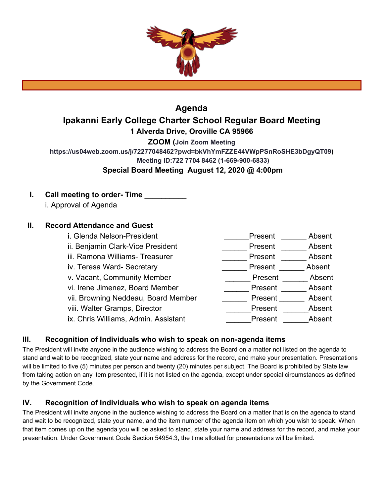

# **Agenda Ipakanni Early College Charter School Regular Board Meeting 1 Alverda Drive, Oroville CA 95966 ZOOM (Join Zoom Meeting https://us04web.zoom.us/j/72277048462?pwd=bkVhYmFZZE44VWpPSnRoSHE3bDgyQT09) Meeting ID:722 7704 8462 (1-669-900-6833)**

# **Special Board Meeting August 12, 2020 @ 4:00pm**

# **I.** Call meeting to order- Time i. Approval of Agenda

# **II. Record Attendance and Guest**

i. Glenda Nelson-President et al. et al. et al. et al. et al. et al. et al. et al. et al. et al. et al. et al. ii. Benjamin Clark-Vice President **Example 20 Fresent** Absent iii. Ramona Williams- Treasurer **Access Community** Present **Absent** Absent iv. Teresa Ward- Secretary **Absent** 2014 **Present 2016** 2016 2017 Absent v. Vacant, Community Member **Example 20 Fresent** Absent vi. Irene Jimenez, Board Member \_\_\_\_\_\_\_\_\_\_\_\_\_\_\_\_ Present \_\_\_\_\_\_\_\_ Absent vii. Browning Neddeau, Board Member **Figure 2018** Present Absent viii. Walter Gramps, Director **National Absent** Present Absent ix. Chris Williams, Admin. Assistant **Example 20 Fresent** Absent

# **III. Recognition of Individuals who wish to speak on non-agenda items**

The President will invite anyone in the audience wishing to address the Board on a matter not listed on the agenda to stand and wait to be recognized, state your name and address for the record, and make your presentation. Presentations will be limited to five (5) minutes per person and twenty (20) minutes per subject. The Board is prohibited by State law from taking action on any item presented, if it is not listed on the agenda, except under special circumstances as defined by the Government Code.

# **IV. Recognition of Individuals who wish to speak on agenda items**

The President will invite anyone in the audience wishing to address the Board on a matter that is on the agenda to stand and wait to be recognized, state your name, and the item number of the agenda item on which you wish to speak. When that item comes up on the agenda you will be asked to stand, state your name and address for the record, and make your presentation. Under Government Code Section 54954.3, the time allotted for presentations will be limited.